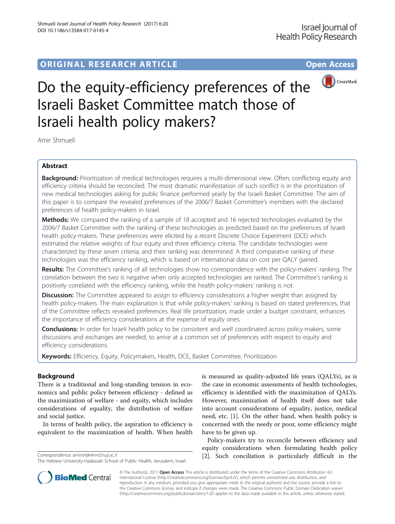## **ORIGINAL RESEARCH ARTICLE CONSUMING ACCESS**



# Do the equity-efficiency preferences of the Israeli Basket Committee match those of Israeli health policy makers?

Amir Shmueli

## Abstract

Background: Prioritization of medical technologies requires a multi-dimensional view. Often, conflicting equity and efficiency criteria should be reconciled. The most dramatic manifestation of such conflict is in the prioritization of new medical technologies asking for public finance performed yearly by the Israeli Basket Committee. The aim of this paper is to compare the revealed preferences of the 2006/7 Basket Committee's members with the declared preferences of health policy-makers in Israel.

Methods: We compared the ranking of a sample of 18 accepted and 16 rejected technologies evaluated by the 2006/7 Basket Committee with the ranking of these technologies as predicted based on the preferences of Israeli health policy-makers. These preferences were elicited by a recent Discrete Choice Experiment (DCE) which estimated the relative weights of four equity and three efficiency criteria. The candidate technologies were characterized by these seven criteria, and their ranking was determined. A third comparative ranking of these technologies was the efficiency ranking, which is based on international data on cost per QALY gained.

Results: The Committee's ranking of all technologies show no correspondence with the policy-makers' ranking. The correlation between the two is negative when only accepted technologies are ranked. The Committee's ranking is positively correlated with the efficiency ranking, while the health policy-makers' ranking is not.

**Discussion:** The Committee appeared to assign to efficiency considerations a higher weight than assigned by health policy-makers. The main explanation is that while policy-makers' ranking is based on stated preferences, that of the Committee reflects revealed preferences. Real life prioritization, made under a budget constraint, enhances the importance of efficiency considerations at the expense of equity ones.

Conclusions: In order for Israeli health policy to be consistent and well coordinated across policy-makers, some discussions and exchanges are needed, to arrive at a common set of preferences with respect to equity and efficiency considerations.

Keywords: Efficiency, Equity, Policymakers, Health, DCE, Basket Committee, Prioritization

## Background

There is a traditional and long-standing tension in economics and public policy between efficiency - defined as the maximization of welfare - and equity, which includes considerations of equality, the distribution of welfare and social justice.

In terms of health policy, the aspiration to efficiency is equivalent to the maximization of health. When health

is measured as quality-adjusted life years (QALYs), as is the case in economic assessments of health technologies, efficiency is identified with the maximization of QALYs. However, maximization of health itself does not take into account considerations of equality, justice, medical need, etc. [[1\]](#page-8-0). On the other hand, when health policy is concerned with the needy or poor, some efficiency might have to be given up.

Policy-makers try to reconcile between efficiency and equity considerations when formulating health policy Correspondence: [amirsh@ekmd.huji.ac.il](mailto:amirsh@ekmd.huji.ac.il)<br>
The Hebrew University-Hadassah School of Public Health, Jerusalem, Israel [[2\]](#page-8-0). Such conciliation is particularly difficult in the



© The Author(s). 2017 **Open Access** This article is distributed under the terms of the Creative Commons Attribution 4.0 International License [\(http://creativecommons.org/licenses/by/4.0/](http://creativecommons.org/licenses/by/4.0/)), which permits unrestricted use, distribution, and reproduction in any medium, provided you give appropriate credit to the original author(s) and the source, provide a link to the Creative Commons license, and indicate if changes were made. The Creative Commons Public Domain Dedication waiver [\(http://creativecommons.org/publicdomain/zero/1.0/](http://creativecommons.org/publicdomain/zero/1.0/)) applies to the data made available in this article, unless otherwise stated.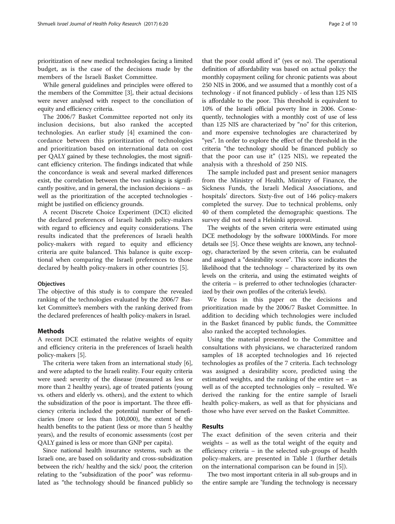prioritization of new medical technologies facing a limited budget, as is the case of the decisions made by the members of the Israeli Basket Committee.

While general guidelines and principles were offered to the members of the Committee [[3](#page-8-0)], their actual decisions were never analysed with respect to the conciliation of equity and efficiency criteria.

The 2006/7 Basket Committee reported not only its inclusion decisions, but also ranked the accepted technologies. An earlier study [\[4](#page-8-0)] examined the concordance between this prioritization of technologies and prioritization based on international data on cost per QALY gained by these technologies, the most significant efficiency criterion. The findings indicated that while the concordance is weak and several marked differences exist, the correlation between the two rankings is significantly positive, and in general, the inclusion decisions – as well as the prioritization of the accepted technologies might be justified on efficiency grounds.

A recent Discrete Choice Experiment (DCE) elicited the declared preferences of Israeli health policy-makers with regard to efficiency and equity considerations. The results indicated that the preferences of Israeli health policy-makers with regard to equity and efficiency criteria are quite balanced. This balance is quite exceptional when comparing the Israeli preferences to those declared by health policy-makers in other countries [\[5](#page-8-0)].

#### **Objectives**

The objective of this study is to compare the revealed ranking of the technologies evaluated by the 2006/7 Basket Committee's members with the ranking derived from the declared preferences of health policy-makers in Israel.

#### Methods

A recent DCE estimated the relative weights of equity and efficiency criteria in the preferences of Israeli health policy-makers [[5\]](#page-8-0).

The criteria were taken from an international study [[6](#page-8-0)], and were adapted to the Israeli reality. Four equity criteria were used: severity of the disease (measured as less or more than 2 healthy years), age of treated patients (young vs. others and elderly vs. others), and the extent to which the subsidization of the poor is important. The three efficiency criteria included the potential number of beneficiaries (more or less than 100,000), the extent of the health benefits to the patient (less or more than 5 healthy years), and the results of economic assessments (cost per QALY gained is less or more than GNP per capita).

Since national health insurance systems, such as the Israeli one, are based on solidarity and cross-subsidization between the rich/ healthy and the sick/ poor, the criterion relating to the "subsidization of the poor" was reformulated as "the technology should be financed publicly so

that the poor could afford it" (yes or no). The operational definition of affordability was based on actual policy: the monthly copayment ceiling for chronic patients was about 250 NIS in 2006, and we assumed that a monthly cost of a technology - if not financed publicly - of less than 125 NIS is affordable to the poor. This threshold is equivalent to 10% of the Israeli official poverty line in 2006. Consequently, technologies with a monthly cost of use of less than 125 NIS are characterized by "no" for this criterion, and more expensive technologies are characterized by "yes". In order to explore the effect of the threshold in the criteria "the technology should be financed publicly so that the poor can use it" (125 NIS), we repeated the analysis with a threshold of 250 NIS.

The sample included past and present senior managers from the Ministry of Health, Ministry of Finance, the Sickness Funds, the Israeli Medical Associations, and hospitals' directors. Sixty-five out of 146 policy-makers completed the survey. Due to technical problems, only 40 of them completed the demographic questions. The survey did not need a Helsinki approval.

The weights of the seven criteria were estimated using DCE methodology by the software 1000Minds. For more details see [\[5](#page-8-0)]. Once these weights are known, any technology, characterized by the seven criteria, can be evaluated and assigned a "desirability score". This score indicates the likelihood that the technology – characterized by its own levels on the criteria, and using the estimated weights of the criteria – is preferred to other technologies (characterized by their own profiles of the criteria's levels).

We focus in this paper on the decisions and prioritization made by the 2006/7 Basket Committee. In addition to deciding which technologies were included in the Basket financed by public funds, the Committee also ranked the accepted technologies.

Using the material presented to the Committee and consultations with physicians, we characterized random samples of 18 accepted technologies and 16 rejected technologies as profiles of the 7 criteria. Each technology was assigned a desirability score, predicted using the estimated weights, and the ranking of the entire set – as well as of the accepted technologies only – resulted. We derived the ranking for the entire sample of Israeli health policy-makers, as well as that for physicians and those who have ever served on the Basket Committee.

### Results

The exact definition of the seven criteria and their weights – as well as the total weight of the equity and efficiency criteria – in the selected sub-groups of health policy-makers, are presented in Table [1](#page-2-0) (further details on the international comparison can be found in [[5\]](#page-8-0)).

The two most important criteria in all sub-groups and in the entire sample are "funding the technology is necessary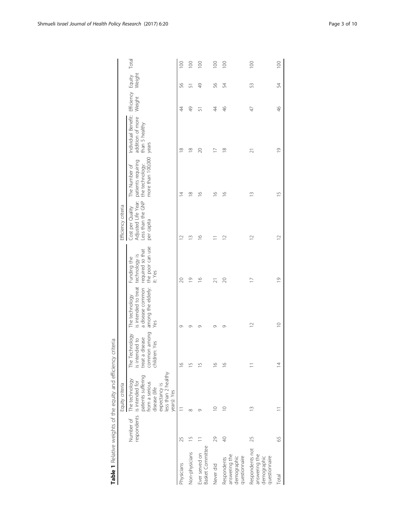<span id="page-2-0"></span>

|                                                                  |                | Table 1 Relative weights of the equity and efficiency                                                                                                                   | criteria                                                                                  |                                                                                         |                                                                                 |                                                                            |                                                                             |                                                                    |                                   |               |                  |
|------------------------------------------------------------------|----------------|-------------------------------------------------------------------------------------------------------------------------------------------------------------------------|-------------------------------------------------------------------------------------------|-----------------------------------------------------------------------------------------|---------------------------------------------------------------------------------|----------------------------------------------------------------------------|-----------------------------------------------------------------------------|--------------------------------------------------------------------|-----------------------------------|---------------|------------------|
|                                                                  |                | Equity criteria                                                                                                                                                         |                                                                                           |                                                                                         |                                                                                 | Efficiency criteria                                                        |                                                                             |                                                                    |                                   |               |                  |
|                                                                  |                | less than 2 healthy<br>patients suffering<br>Number of The technology<br>respondents is intended for<br>from a serious<br>expectancy is<br>disease (life<br>years): Yes | common among<br>echnology<br>treat a disease<br>is intended to<br>children: Yes<br>The Te | is intended to treat<br>among the elderly:<br>a disease common<br>The technology<br>Yes | the poor can use<br>required so that<br>technology is<br>Funding the<br>it: Yes | Adjusted Life Year:<br>Less than the GNP<br>Cost per Quality<br>per capita | more than 100,000<br>patients requiring<br>the technology:<br>The Number of | Individual Benefit:<br>addition of more<br>than 5 healthy<br>years | Efficiency Equity Total<br>Weight | Weight        |                  |
| Physicians                                                       | 25             |                                                                                                                                                                         | $\frac{8}{1}$                                                                             | ᡡ                                                                                       | 20                                                                              | $\overline{C}$                                                             | ⋣                                                                           | $\frac{8}{10}$                                                     | 4                                 | \$9           | $\overline{00}$  |
| Non-physicians                                                   | $\overline{1}$ | ∝                                                                                                                                                                       |                                                                                           | ᡡ                                                                                       | $\overline{0}$                                                                  | $\frac{3}{2}$                                                              | $\frac{8}{1}$                                                               | $\frac{8}{10}$                                                     | 49                                | 51            | $\overline{100}$ |
| Basket Committee<br>Ever served on                               |                | ᡡ                                                                                                                                                                       |                                                                                           | ത                                                                                       | $\frac{8}{1}$                                                                   | $\frac{8}{1}$                                                              | $\frac{6}{1}$                                                               | 20                                                                 | 51                                | $\frac{1}{2}$ | 100              |
| Never did                                                        | 29             | $\supseteq$                                                                                                                                                             | $\frac{6}{1}$                                                                             | Ō                                                                                       | $\overline{N}$                                                                  |                                                                            | $\frac{6}{1}$                                                               |                                                                    | 4                                 | SS,           | $\overline{0}$   |
| answering the<br>questionnaire<br>demographic<br>Respondents     | $\sqrt{4}$     | $\subseteq$                                                                                                                                                             | $\overline{\circ}$                                                                        | Ō                                                                                       | $\approx$                                                                       | $\overline{1}$                                                             | $\frac{6}{2}$                                                               | $\frac{8}{18}$                                                     | $\frac{4}{6}$                     | 54            | 100              |
| Respondents not<br>answering the<br>questionnaire<br>demographic | 25             |                                                                                                                                                                         |                                                                                           |                                                                                         |                                                                                 |                                                                            | $\tilde{=}$                                                                 | $\overline{z}$                                                     | $\overline{4}$                    | 53            | $\overline{100}$ |
| Total                                                            | 65             |                                                                                                                                                                         | $\overline{4}$                                                                            | $\approx$                                                                               | $\overline{0}$                                                                  | $\approx$                                                                  | $\frac{5}{1}$                                                               | $\frac{1}{2}$                                                      | $\frac{4}{6}$                     | 54            | 100              |
|                                                                  |                |                                                                                                                                                                         |                                                                                           |                                                                                         |                                                                                 |                                                                            |                                                                             |                                                                    |                                   |               |                  |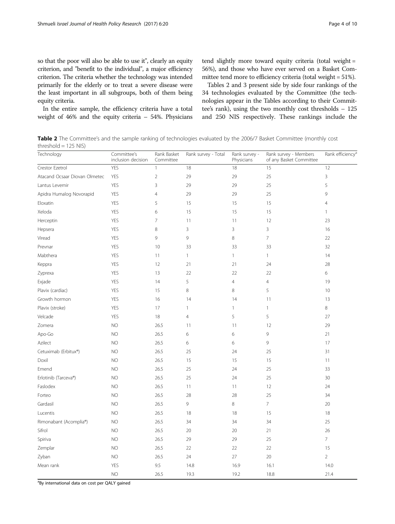<span id="page-3-0"></span>so that the poor will also be able to use it", clearly an equity criterion, and "benefit to the individual", a major efficiency criterion. The criteria whether the technology was intended primarily for the elderly or to treat a severe disease were the least important in all subgroups, both of them being equity criteria.

In the entire sample, the efficiency criteria have a total weight of 46% and the equity criteria – 54%. Physicians

tend slightly more toward equity criteria (total weight = 56%), and those who have ever served on a Basket Committee tend more to efficiency criteria (total weight = 51%).

Tables 2 and [3](#page-4-0) present side by side four rankings of the 34 technologies evaluated by the Committee (the technologies appear in the Tables according to their Committee's rank), using the two monthly cost thresholds – 125 and 250 NIS respectively. These rankings include the

Table 2 The Committee's and the sample ranking of technologies evaluated by the 2006/7 Basket Committee (monthly cost threshold  $= 125$  NIS)

| Technology                    | Committee's<br>inclusion decision | Rank Basket<br>Committee | Rank survey - Total | Rank survey -<br>Physicians | Rank survey - Members<br>of any Basket Committee | Rank efficiency <sup>a</sup> |
|-------------------------------|-----------------------------------|--------------------------|---------------------|-----------------------------|--------------------------------------------------|------------------------------|
| Crestor Ezetrol               | <b>YES</b>                        | $\mathbf{1}$             | 18                  | 18                          | 15                                               | 12                           |
| Atacand Ocsaar Diovan Olmetec | <b>YES</b>                        | $\overline{2}$           | 29                  | 29                          | 25                                               | $\mathsf{3}$                 |
| Lantus Levemir                | <b>YES</b>                        | 3                        | 29                  | 29                          | 25                                               | 5                            |
| Apidra Humalog Novorapid      | YES                               | $\overline{4}$           | 29                  | 29                          | 25                                               | 9                            |
| Eloxatin                      | <b>YES</b>                        | 5                        | 15                  | 15                          | 15                                               | $\overline{4}$               |
| Xeloda                        | <b>YES</b>                        | 6                        | 15                  | 15                          | 15                                               | $\mathbf{1}$                 |
| Herceptin                     | <b>YES</b>                        | 7                        | 11                  | 11                          | 12                                               | 23                           |
| Hepsera                       | <b>YES</b>                        | 8                        | 3                   | 3                           | $\mathsf{3}$                                     | 16                           |
| Viread                        | YES                               | 9                        | 9                   | 8                           | $\overline{7}$                                   | 22                           |
| Prevnar                       | <b>YES</b>                        | 10                       | 33                  | 33                          | 33                                               | 32                           |
| Mabthera                      | <b>YES</b>                        | 11                       | $\mathbf{1}$        | $\ensuremath{\mathsf{1}}$   | $\ensuremath{\mathsf{1}}$                        | 14                           |
| Keppra                        | <b>YES</b>                        | 12                       | 21                  | 21                          | 24                                               | 28                           |
| Zyprexa                       | <b>YES</b>                        | 13                       | 22                  | 22                          | 22                                               | 6                            |
| Exjade                        | YES                               | 14                       | 5                   | $\overline{4}$              | $\overline{4}$                                   | 19                           |
| Plavix (cardiac)              | YES                               | 15                       | 8                   | 8                           | 5                                                | 10                           |
| Growth hormon                 | YES                               | 16                       | 14                  | 14                          | 11                                               | 13                           |
| Plavix (stroke)               | <b>YES</b>                        | 17                       | $\mathbf{1}$        | $\mathbf{1}$                | $\ensuremath{\mathsf{1}}$                        | $\,8\,$                      |
| Velcade                       | <b>YES</b>                        | 18                       | $\overline{4}$      | 5                           | 5                                                | 27                           |
| Zomera                        | NO                                | 26.5                     | 11                  | 11                          | 12                                               | 29                           |
| Apo-Go                        | NO                                | 26.5                     | 6                   | 6                           | 9                                                | 21                           |
| Azilect                       | NO                                | 26.5                     | 6                   | 6                           | 9                                                | 17                           |
| Cetuximab (Erbitux®)          | NO                                | 26.5                     | 25                  | 24                          | 25                                               | 31                           |
| Doxil                         | <b>NO</b>                         | 26.5                     | 15                  | 15                          | 15                                               | 11                           |
| Emend                         | NO                                | 26.5                     | 25                  | 24                          | 25                                               | 33                           |
| Erlotinib (Tarceva®)          | NO                                | 26.5                     | 25                  | 24                          | 25                                               | 30                           |
| Faslodex                      | NO                                | 26.5                     | 11                  | 11                          | 12                                               | 24                           |
| Forteo                        | NO                                | 26.5                     | 28                  | 28                          | 25                                               | 34                           |
| Gardasil                      | <b>NO</b>                         | 26.5                     | 9                   | 8                           | $\overline{7}$                                   | 20                           |
| Lucentis                      | NO                                | 26.5                     | 18                  | 18                          | 15                                               | 18                           |
| Rimonabant (Acomplia®)        | NO                                | 26.5                     | 34                  | 34                          | 34                                               | 25                           |
| Sifrol                        | NO                                | 26.5                     | 20                  | 20                          | 21                                               | 26                           |
| Spiriva                       | <b>NO</b>                         | 26.5                     | 29                  | 29                          | 25                                               | $\overline{7}$               |
| Zemplar                       | <b>NO</b>                         | 26.5                     | 22                  | 22                          | 22                                               | 15                           |
| Zyban                         | NO                                | 26.5                     | 24                  | 27                          | 20                                               | $\overline{2}$               |
| Mean rank                     | YES                               | 9.5                      | 14.8                | 16.9                        | 16.1                                             | 14.0                         |
|                               | NO                                | 26.5                     | 19.3                | 19.2                        | 18.8                                             | 21.4                         |

<sup>a</sup>By international data on cost per QALY gained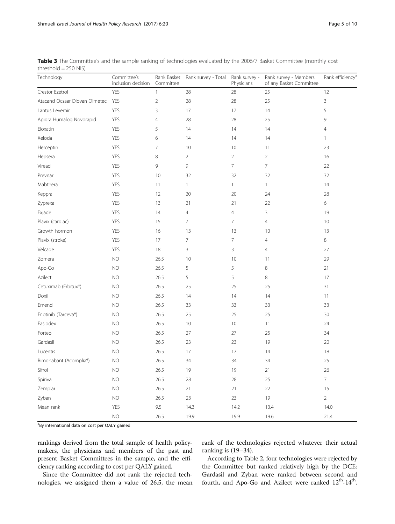| Technology                    | Committee's<br>inclusion decision | Rank Basket<br>Committee | Rank survey - Total Rank survey - | Physicians               | Rank survey - Members<br>of any Basket Committee | Rank efficiency <sup>a</sup> |
|-------------------------------|-----------------------------------|--------------------------|-----------------------------------|--------------------------|--------------------------------------------------|------------------------------|
| Crestor Ezetrol               | YES                               | $\mathbf{1}$             | 28                                | 28                       | 25                                               | 12                           |
| Atacand Ocsaar Diovan Olmetec | YES                               | $\overline{2}$           | 28                                | 28                       | 25                                               | $\overline{3}$               |
| Lantus Levemir                | YES                               | 3                        | 17                                | 17                       | 14                                               | 5                            |
| Apidra Humalog Novorapid      | <b>YES</b>                        | $\overline{4}$           | 28                                | 28                       | 25                                               | $\mathsf 9$                  |
| Eloxatin                      | YES                               | 5                        | 14                                | 14                       | 14                                               | $\overline{4}$               |
| Xeloda                        | <b>YES</b>                        | 6                        | 14                                | 14                       | 14                                               | 1                            |
| Herceptin                     | YES                               | $\overline{7}$           | 10                                | 10                       | 11                                               | 23                           |
| Hepsera                       | <b>YES</b>                        | 8                        | $\overline{2}$                    | $\overline{2}$           | $\sqrt{2}$                                       | 16                           |
| Viread                        | <b>YES</b>                        | 9                        | 9                                 | $\overline{\mathcal{I}}$ | $\overline{\mathcal{I}}$                         | 22                           |
| Prevnar                       | <b>YES</b>                        | 10                       | 32                                | 32                       | 32                                               | 32                           |
| Mabthera                      | <b>YES</b>                        | 11                       | 1                                 | $\mathbf{1}$             | $\mathbf{1}$                                     | 14                           |
| Keppra                        | <b>YES</b>                        | 12                       | 20                                | 20                       | 24                                               | 28                           |
| Zyprexa                       | <b>YES</b>                        | 13                       | 21                                | 21                       | 22                                               | 6                            |
| Exjade                        | <b>YES</b>                        | 14                       | $\overline{4}$                    | $\overline{4}$           | $\mathsf 3$                                      | 19                           |
| Plavix (cardiac)              | <b>YES</b>                        | 15                       | 7                                 | $\overline{7}$           | $\overline{4}$                                   | 10                           |
| Growth hormon                 | <b>YES</b>                        | 16                       | 13                                | 13                       | 10                                               | 13                           |
| Plavix (stroke)               | <b>YES</b>                        | 17                       | 7                                 | $\overline{\phantom{a}}$ | $\overline{4}$                                   | 8                            |
| Velcade                       | <b>YES</b>                        | 18                       | 3                                 | 3                        | $\overline{4}$                                   | 27                           |
| Zomera                        | <b>NO</b>                         | 26.5                     | 10                                | 10                       | 11                                               | 29                           |
| Apo-Go                        | <b>NO</b>                         | 26.5                     | 5                                 | 5                        | 8                                                | 21                           |
| Azilect                       | <b>NO</b>                         | 26.5                     | 5                                 | 5                        | $\,8\,$                                          | 17                           |
| Cetuximab (Erbitux®)          | NO                                | 26.5                     | 25                                | 25                       | 25                                               | 31                           |
| Doxil                         | NO                                | 26.5                     | 14                                | 14                       | 14                                               | 11                           |
| Emend                         | <b>NO</b>                         | 26.5                     | 33                                | 33                       | 33                                               | 33                           |
| Erlotinib (Tarceva®)          | NO                                | 26.5                     | 25                                | 25                       | 25                                               | 30                           |
| Faslodex                      | NO                                | 26.5                     | 10                                | 10                       | 11                                               | 24                           |
| Forteo                        | NO                                | 26.5                     | 27                                | 27                       | 25                                               | 34                           |
| Gardasil                      | NO                                | 26.5                     | 23                                | 23                       | 19                                               | $20\,$                       |
| Lucentis                      | NO                                | 26.5                     | 17                                | 17                       | 14                                               | 18                           |
| Rimonabant (Acomplia®)        | NO                                | 26.5                     | 34                                | 34                       | 34                                               | 25                           |
| Sifrol                        | NO                                | 26.5                     | 19                                | 19                       | 21                                               | 26                           |
| Spiriva                       | NO                                | 26.5                     | 28                                | 28                       | 25                                               | $\overline{7}$               |
| Zemplar                       | NO                                | 26.5                     | 21                                | 21                       | 22                                               | 15                           |
| Zyban                         | NO                                | 26.5                     | 23                                | 23                       | 19                                               | $\overline{2}$               |
| Mean rank                     | <b>YES</b>                        | 9.5                      | 14.3                              | 14.2                     | 13.4                                             | 14.0                         |
|                               | NO                                | 26.5                     | 19.9                              | 19.9                     | 19.6                                             | 21.4                         |

<span id="page-4-0"></span>Table 3 The Committee's and the sample ranking of technologies evaluated by the 2006/7 Basket Committee (monthly cost threshold  $= 250$  NIS)

<sup>a</sup>By international data on cost per QALY gained

rankings derived from the total sample of health policymakers, the physicians and members of the past and present Basket Committees in the sample, and the efficiency ranking according to cost per QALY gained.

Since the Committee did not rank the rejected technologies, we assigned them a value of 26.5, the mean rank of the technologies rejected whatever their actual ranking is (19–34).

According to Table [2,](#page-3-0) four technologies were rejected by the Committee but ranked relatively high by the DCE: Gardasil and Zyban were ranked between second and fourth, and Apo-Go and Azilect were ranked  $12^{th}$ - $14^{th}$ .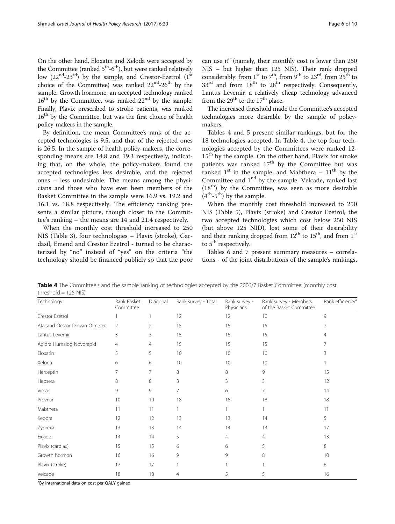On the other hand, Eloxatin and Xeloda were accepted by the Committee (ranked  $5<sup>th</sup>-6<sup>th</sup>$ ), but were ranked relatively low  $(22<sup>nd</sup>-23<sup>rd</sup>)$  by the sample, and Crestor-Ezetrol  $(1<sup>st</sup>$ choice of the Committee) was ranked  $22<sup>nd</sup> - 26<sup>th</sup>$  by the sample. Growth hormone, an accepted technology ranked 16<sup>th</sup> by the Committee, was ranked 22<sup>nd</sup> by the sample. Finally, Plavix prescribed to stroke patients, was ranked 16<sup>th</sup> by the Committee, but was the first choice of health policy-makers in the sample.

By definition, the mean Committee's rank of the accepted technologies is 9.5, and that of the rejected ones is 26.5. In the sample of health policy-makers, the corresponding means are 14.8 and 19.3 respectively, indicating that, on the whole, the policy-makers found the accepted technologies less desirable, and the rejected ones – less undesirable. The means among the physicians and those who have ever been members of the Basket Committee in the sample were 16.9 vs. 19.2 and 16.1 vs. 18.8 respectively. The efficiency ranking presents a similar picture, though closer to the Committee's ranking – the means are 14 and 21.4 respectively.

When the monthly cost threshold increased to 250 NIS (Table [3\)](#page-4-0), four technologies – Plavix (stroke), Gardasil, Emend and Crestor Ezetrol - turned to be characterized by "no" instead of "yes" on the criteria "the technology should be financed publicly so that the poor

can use it" (namely, their monthly cost is lower than 250 NIS – but higher than 125 NIS). Their rank dropped considerably: from 1<sup>st</sup> to  $7<sup>th</sup>$ , from 9<sup>th</sup> to 23<sup>rd</sup>, from 25<sup>th</sup> to  $33<sup>rd</sup>$  and from  $18<sup>th</sup>$  to  $28<sup>th</sup>$  respectively. Consequently, Lantus Levemir, a relatively cheap technology advanced from the  $29<sup>th</sup>$  to the  $17<sup>th</sup>$  place.

The increased threshold made the Committee's accepted technologies more desirable by the sample of policymakers.

Tables 4 and [5](#page-6-0) present similar rankings, but for the 18 technologies accepted. In Table 4, the top four technologies accepted by the Committees were ranked 12- 15<sup>th</sup> by the sample. On the other hand, Plavix for stroke patients was ranked  $17<sup>th</sup>$  by the Committee but was ranked  $1^{st}$  in the sample, and Mabthera –  $11^{th}$  by the Committee and  $1<sup>nd</sup>$  by the sample. Velcade, ranked last  $(18<sup>th</sup>)$  by the Committee, was seen as more desirable  $(4^{th} - 5^{th})$  by the sample.

When the monthly cost threshold increased to 250 NIS (Table [5\)](#page-6-0), Plavix (stroke) and Crestor Ezetrol, the two accepted technologies which cost below 250 NIS (but above 125 NID), lost some of their desirability and their ranking dropped from  $12<sup>th</sup>$  to  $15<sup>th</sup>$ , and from  $1<sup>st</sup>$ to 5<sup>th</sup> respectively.

Tables [6](#page-6-0) and [7](#page-7-0) present summary measures – correlations - of the joint distributions of the sample's rankings,

Table 4 The Committee's and the sample ranking of technologies accepted by the 2006/7 Basket Committee (monthly cost threshold  $= 125$  NIS)

| Technology                    | Rank Basket<br>Committee | Diagonal | Rank survey - Total | Rank survey -<br>Physicians | Rank survey - Members<br>of the Basket Committee | Rank efficiency <sup>a</sup> |
|-------------------------------|--------------------------|----------|---------------------|-----------------------------|--------------------------------------------------|------------------------------|
| Crestor Ezetrol               |                          |          | 12                  | 12                          | 10                                               | 9                            |
| Atacand Ocsaar Diovan Olmetec | 2                        | 2        | 15                  | 15                          | 15                                               | $\overline{2}$               |
| Lantus Levemir                | 3                        | 3        | 15                  | 15                          | 15                                               | $\overline{4}$               |
| Apidra Humalog Novorapid      | 4                        | 4        | 15                  | 15                          | 15                                               | 7                            |
| Eloxatin                      | 5                        | 5        | 10                  | 10                          | 10                                               | 3                            |
| Xeloda                        | 6                        | 6        | 10                  | 10                          | 10                                               |                              |
| Herceptin                     | 7                        | 7        | 8                   | 8                           | 9                                                | 15                           |
| Hepsera                       | 8                        | 8        | 3                   | 3                           | 3                                                | 12                           |
| Viread                        | 9                        | 9        | 7                   | 6                           | 7                                                | 14                           |
| Prevnar                       | 10                       | 10       | 18                  | 18                          | 18                                               | 18                           |
| Mabthera                      | 11                       | 11       |                     | $\mathbf{1}$                |                                                  | 11                           |
| Keppra                        | 12                       | 12       | 13                  | 13                          | 14                                               | 5                            |
| Zyprexa                       | 13                       | 13       | 14                  | 14                          | 13                                               | 17                           |
| Exjade                        | 14                       | 14       | 5                   | $\overline{4}$              | 4                                                | 13                           |
| Plavix (cardiac)              | 15                       | 15       | 6                   | 6                           | 5                                                | 8                            |
| Growth hormon                 | 16                       | 16       | 9                   | 9                           | 8                                                | 10                           |
| Plavix (stroke)               | 17                       | 17       |                     |                             |                                                  | 6                            |
| Velcade                       | 18                       | 18       | $\overline{4}$      | 5                           | 5                                                | 16                           |

<sup>a</sup>By international data on cost per QALY gained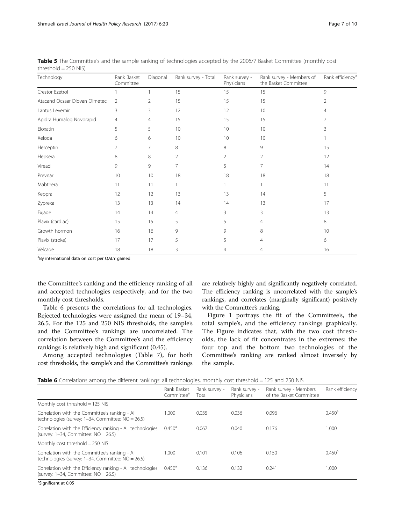| Technology                    | Rank Basket<br>Committee | Diagonal       | Rank survey - Total | Rank survey -<br>Physicians | Rank survey - Members of<br>the Basket Committee | Rank efficiency <sup>a</sup> |
|-------------------------------|--------------------------|----------------|---------------------|-----------------------------|--------------------------------------------------|------------------------------|
| Crestor Ezetrol               |                          |                | 15                  | 15                          | 15                                               | 9                            |
| Atacand Ocsaar Diovan Olmetec | 2                        | 2              | 15                  | 15                          | 15                                               | 2                            |
| Lantus Levemir                | 3                        | 3              | 12                  | 12                          | 10                                               | 4                            |
| Apidra Humalog Novorapid      | 4                        | 4              | 15                  | 15                          | 15                                               |                              |
| Eloxatin                      | 5                        | 5              | 10                  | 10                          | 10                                               | 3                            |
| Xeloda                        | 6                        | 6              | 10                  | 10                          | 10                                               |                              |
| Herceptin                     | 7                        | $\overline{7}$ | 8                   | 8                           | 9                                                | 15                           |
| Hepsera                       | 8                        | 8              | 2                   | 2                           | 2                                                | 12                           |
| Viread                        | 9                        | 9              | 7                   | 5                           | 7                                                | 14                           |
| Prevnar                       | 10                       | 10             | 18                  | 18                          | 18                                               | 18                           |
| Mabthera                      | 11                       | 11             |                     |                             |                                                  | 11                           |
| Keppra                        | 12                       | 12             | 13                  | 13                          | 14                                               | 5                            |
| Zyprexa                       | 13                       | 13             | 14                  | 14                          | 13                                               | 17                           |
| Exjade                        | 14                       | 14             | $\overline{4}$      | 3                           | 3                                                | 13                           |
| Plavix (cardiac)              | 15                       | 15             | 5                   | 5                           | $\overline{4}$                                   | 8                            |
| Growth hormon                 | 16                       | 16             | 9                   | 9                           | 8                                                | 10                           |
| Plavix (stroke)               | 17                       | 17             | 5                   | 5                           | 4                                                | 6                            |
| Velcade                       | 18                       | 18             | 3                   | 4                           | 4                                                | 16                           |

<span id="page-6-0"></span>Table 5 The Committee's and the sample ranking of technologies accepted by the 2006/7 Basket Committee (monthly cost threshold  $= 250$  NIS)

<sup>a</sup>By international data on cost per QALY gained

the Committee's ranking and the efficiency ranking of all and accepted technologies respectively, and for the two monthly cost thresholds.

Table 6 presents the correlations for all technologies. Rejected technologies were assigned the mean of 19–34, 26.5. For the 125 and 250 NIS thresholds, the sample's and the Committee's rankings are uncorrelated. The correlation between the Committee's and the efficiency rankings is relatively high and significant (0.45).

Among accepted technologies (Table [7\)](#page-7-0), for both cost thresholds, the sample's and the Committee's rankings

are relatively highly and significantly negatively correlated. The efficiency ranking is uncorrelated with the sample's rankings, and correlates (marginally significant) positively with the Committee's ranking.

Figure [1](#page-7-0) portrays the fit of the Committee's, the total sample's, and the efficiency rankings graphically. The Figure indicates that, with the two cost thresholds, the lack of fit concentrates in the extremes: the four top and the bottom two technologies of the Committee's ranking are ranked almost inversely by the sample.

|  |  |  |  |  |  |  | Table 6 Correlations among the different rankings: all technologies, monthly cost threshold = 125 and 250 NIS |  |  |  |
|--|--|--|--|--|--|--|---------------------------------------------------------------------------------------------------------------|--|--|--|
|--|--|--|--|--|--|--|---------------------------------------------------------------------------------------------------------------|--|--|--|

|                                                                                                          | Rank Basket<br>Committee <sup>a</sup> | Rank survey -<br>Total | Rank survey -<br>Physicians | Rank survey - Members<br>of the Basket Committee | Rank efficiency    |
|----------------------------------------------------------------------------------------------------------|---------------------------------------|------------------------|-----------------------------|--------------------------------------------------|--------------------|
| Monthly cost threshold $= 125$ NIS                                                                       |                                       |                        |                             |                                                  |                    |
| Correlation with the Committee's ranking - All<br>technologies (survey: 1-34, Committee: NO = 26.5)      | 1.000                                 | 0.035                  | 0.036                       | 0.096                                            | 0.450 <sup>a</sup> |
| Correlation with the Efficiency ranking - All technologies<br>(survey: $1-34$ , Committee: $NO = 26.5$ ) | $0.450$ <sup>a</sup>                  | 0.067                  | 0.040                       | 0.176                                            | 1.000              |
| Monthly cost threshold $=$ 250 NIS                                                                       |                                       |                        |                             |                                                  |                    |
| Correlation with the Committee's ranking - All<br>technologies (survey: 1-34, Committee: NO = 26.5)      | 1.000                                 | 0.101                  | 0.106                       | 0.150                                            | $0.450^{\circ}$    |
| Correlation with the Efficiency ranking - All technologies<br>(survey: $1-34$ , Committee: $NO = 26.5$ ) | $0.450$ <sup>a</sup>                  | 0.136                  | 0.132                       | 0.241                                            | 1.000              |
|                                                                                                          |                                       |                        |                             |                                                  |                    |

<sup>a</sup>Significant at 0.05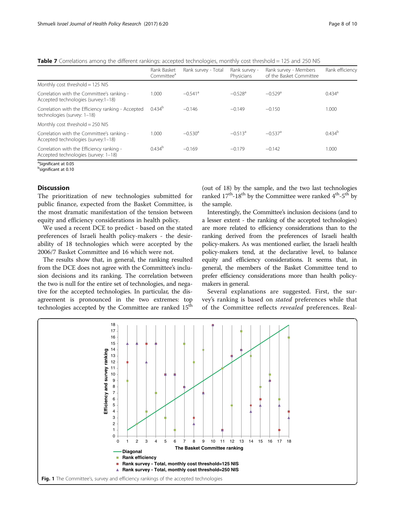<span id="page-7-0"></span>Table 7 Correlations among the different rankings: accepted technologies, monthly cost threshold = 125 and 250 NIS

|                                                                                   | Rank Basket<br>Committee <sup>a</sup> | Rank survey - Total   | Rank survey -<br>Physicians | Rank survey - Members<br>of the Basket Committee | Rank efficiency      |
|-----------------------------------------------------------------------------------|---------------------------------------|-----------------------|-----------------------------|--------------------------------------------------|----------------------|
| Monthly cost threshold $= 125$ NIS                                                |                                       |                       |                             |                                                  |                      |
| Correlation with the Committee's ranking -<br>Accepted technologies (survey:1-18) | 1.000                                 | $-0.541$ <sup>a</sup> | $-0.528$ <sup>a</sup>       | $-0.529$ <sup>a</sup>                            | $0.434$ <sup>a</sup> |
| Correlation with the Efficiency ranking - Accepted<br>technologies (survey: 1-18) | $0.434^{b}$                           | $-0.146$              | $-0.149$                    | $-0.150$                                         | 1.000                |
| Monthly cost threshold $= 250$ NIS                                                |                                       |                       |                             |                                                  |                      |
| Correlation with the Committee's ranking -<br>Accepted technologies (survey:1-18) | 1.000                                 | $-0.530$ <sup>a</sup> | $-0.513$ <sup>a</sup>       | $-0.537$ <sup>a</sup>                            | $0.434^{b}$          |
| Correlation with the Efficiency ranking -<br>Accepted technologies (survey: 1-18) | $0.434^{b}$                           | $-0.169$              | $-0.179$                    | $-0.142$                                         | 1.000                |

<sup>a</sup>Significant at 0.05

<sup>b</sup>significant at 0.10

## Discussion

The prioritization of new technologies submitted for public finance, expected from the Basket Committee, is the most dramatic manifestation of the tension between equity and efficiency considerations in health policy.

We used a recent DCE to predict - based on the stated preferences of Israeli health policy-makers - the desirability of 18 technologies which were accepted by the 2006/7 Basket Committee and 16 which were not.

The results show that, in general, the ranking resulted from the DCE does not agree with the Committee's inclusion decisions and its ranking. The correlation between the two is null for the entire set of technologies, and negative for the accepted technologies. In particular, the disagreement is pronounced in the two extremes: top technologies accepted by the Committee are ranked  $15<sup>th</sup>$  (out of 18) by the sample, and the two last technologies ranked  $17<sup>th</sup>$ -18<sup>th</sup> by the Committee were ranked  $4<sup>th</sup>$ -5<sup>th</sup> by the sample.

Interestingly, the Committee's inclusion decisions (and to a lesser extent - the ranking of the accepted technologies) are more related to efficiency considerations than to the ranking derived from the preferences of Israeli health policy-makers. As was mentioned earlier, the Israeli health policy-makers tend, at the declarative level, to balance equity and efficiency considerations. It seems that, in general, the members of the Basket Committee tend to prefer efficiency considerations more than health policymakers in general.

Several explanations are suggested. First, the survey's ranking is based on stated preferences while that of the Committee reflects revealed preferences. Real-

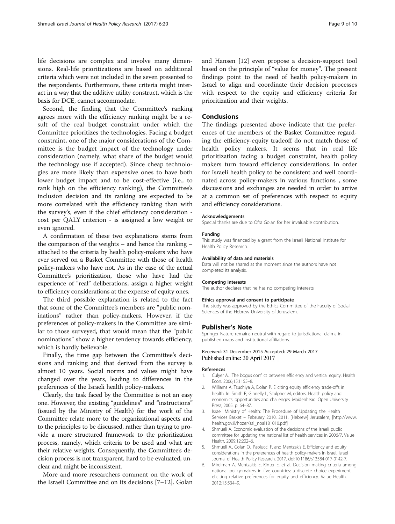<span id="page-8-0"></span>life decisions are complex and involve many dimensions. Real-life prioritizations are based on additional criteria which were not included in the seven presented to the respondents. Furthermore, these criteria might interact in a way that the additive utility construct, which is the basis for DCE, cannot accommodate.

Second, the finding that the Committee's ranking agrees more with the efficiency ranking might be a result of the real budget constraint under which the Committee prioritizes the technologies. Facing a budget constraint, one of the major considerations of the Committee is the budget impact of the technology under consideration (namely, what share of the budget would the technology use if accepted). Since cheap technologies are more likely than expensive ones to have both lower budget impact and to be cost-effective (i.e., to rank high on the efficiency ranking), the Committee's inclusion decision and its ranking are expected to be more correlated with the efficiency ranking than with the survey's, even if the chief efficiency consideration cost per QALY criterion - is assigned a low weight or even ignored.

A confirmation of these two explanations stems from the comparison of the weights – and hence the ranking – attached to the criteria by health policy-makers who have ever served on a Basket Committee with those of health policy-makers who have not. As in the case of the actual Committee's prioritization, those who have had the experience of "real" deliberations, assign a higher weight to efficiency considerations at the expense of equity ones.

The third possible explanation is related to the fact that some of the Committee's members are "public nominations" rather than policy-makers. However, if the preferences of policy-makers in the Committee are similar to those surveyed, that would mean that the "public nominations" show a higher tendency towards efficiency, which is hardly believable.

Finally, the time gap between the Committee's decisions and ranking and that derived from the survey is almost 10 years. Social norms and values might have changed over the years, leading to differences in the preferences of the Israeli health policy-makers.

Clearly, the task faced by the Committee is not an easy one. However, the existing "guidelines" and "instructions" (issued by the Ministry of Health) for the work of the Committee relate more to the organizational aspects and to the principles to be discussed, rather than trying to provide a more structured framework to the prioritization process, namely, which criteria to be used and what are their relative weights. Consequently, the Committee's decision process is not transparent, hard to be evaluated, unclear and might be inconsistent.

More and more researchers comment on the work of the Israeli Committee and on its decisions [[7](#page-9-0)–[12](#page-9-0)]. Golan

and Hansen [[12\]](#page-9-0) even propose a decision-support tool based on the principle of "value for money". The present findings point to the need of health policy-makers in Israel to align and coordinate their decision processes with respect to the equity and efficiency criteria for prioritization and their weights.

#### **Conclusions**

The findings presented above indicate that the preferences of the members of the Basket Committee regarding the efficiency-equity tradeoff do not match those of health policy makers. It seems that in real life prioritization facing a budget constraint, health policy makers turn toward efficiency considerations. In order for Israeli health policy to be consistent and well coordinated across policy-makers in various functions , some discussions and exchanges are needed in order to arrive at a common set of preferences with respect to equity and efficiency considerations.

#### Acknowledgements

Special thanks are due to Ofra Golan for her invaluable contribution.

#### Funding

This study was financed by a grant from the Israeli National Institute for Health Policy Research.

#### Availability of data and materials

Data will not be shared at the moment since the authors have not completed its analysis.

#### Competing interests

The author declares that he has no competing interests

#### Ethics approval and consent to participate

The study was approved by the Ethics Committee of the Faculty of Social Sciences of the Hebrew University of Jerusalem.

#### Publisher's Note

Springer Nature remains neutral with regard to jurisdictional claims in published maps and institutional affiliations.

#### Received: 31 December 2015 Accepted: 29 March 2017 Published online: 30 April 2017

#### References

- 1. Culyer AJ. The bogus conflict between efficiency and vertical equity. Health Econ. 2006;15:1155–8.
- 2. Williams A, Tsuchiya A, Dolan P. Eliciting equity efficiency trade-offs in health. In: Smith P, Ginnelly L, Sculpher M, editors. Health policy and economics: opportunities and challenges. Maidenhead: Open University Press; 2005. p. 64–87.
- 3. Israeli Ministry of Health: The Procedure of Updating the Health Services Basket – February 2010. 2011, [Hebrew] Jerusalem, [[http://www.](http://www.health.gov.il/hozer/sal_noal181010.pdf) [health.gov.il/hozer/sal\\_noal181010.pdf](http://www.health.gov.il/hozer/sal_noal181010.pdf)]
- 4. Shmueli A. Economic evaluation of the decisions of the Israeli public committee for updating the national list of health services in 2006/7. Value Health. 2009;12:202–6.
- 5. Shmueli A., Golan O., Paolucci F. and Mentzakis E. Efficiency and equity considerations in the preferences of health policy-makers in Israel, Israel Journal of Health Policy Research. 2017. doi[:10.1186/s13584-017-0142-7](http://dx.doi.org/10.1186/s13584-017-0142-7).
- 6. Mirelman A, Mentzakis E, Kinter E, et al. Decision making criteria among national policy-makers in five countries: a discrete choice experiment eliciting relative preferences for equity and efficiency. Value Health. 2012;15:534–9.